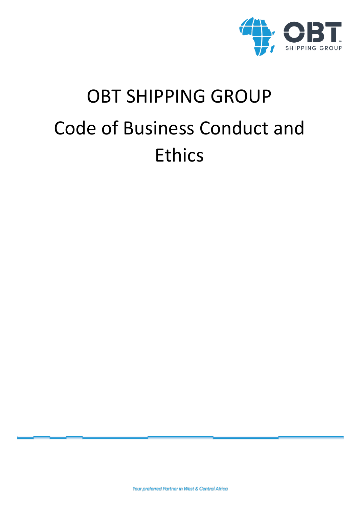

# OBT SHIPPING GROUP Code of Business Conduct and Ethics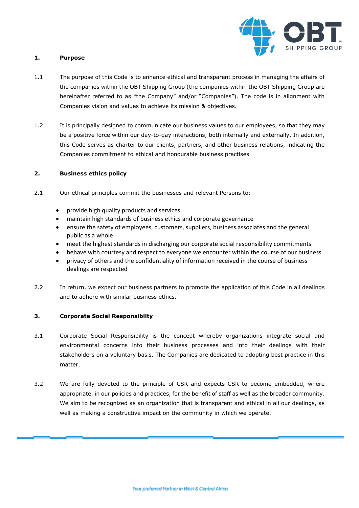

## **1. Purpose**

- 1.1 The purpose of this Code is to enhance ethical and transparent process in managing the affairs of the companies within the OBT Shipping Group (the companies within the OBT Shipping Group are hereinafter referred to as "the Company" and/or "Companies"). The code is in alignment with Companies vision and values to achieve its mission & objectives.
- 1.2 It is principally designed to communicate our business values to our employees, so that they may be a positive force within our day-to-day interactions, both internally and externally. In addition, this Code serves as charter to our clients, partners, and other business relations, indicating the Companies commitment to ethical and honourable business practises

# **2. Business ethics policy**

- 2.1 Our ethical principles commit the businesses and relevant Persons to:
	- provide high quality products and services,
	- maintain high standards of business ethics and corporate governance
	- ensure the safety of employees, customers, suppliers, business associates and the general public as a whole
	- meet the highest standards in discharging our corporate social responsibility commitments
	- behave with courtesy and respect to everyone we encounter within the course of our business
	- privacy of others and the confidentiality of information received in the course of business dealings are respected
- 2.2 In return, we expect our business partners to promote the application of this Code in all dealings and to adhere with similar business ethics.

# **3. Corporate Social Responsibilty**

- 3.1 Corporate Social Responsibility is the concept whereby organizations integrate social and environmental concerns into their business processes and into their dealings with their stakeholders on a voluntary basis. The Companies are dedicated to adopting best practice in this matter.
- 3.2 We are fully devoted to the principle of CSR and expects CSR to become embedded, where appropriate, in our policies and practices, for the benefit of staff as well as the broader community. We aim to be recognized as an organization that is transparent and ethical in all our dealings, as well as making a constructive impact on the community in which we operate.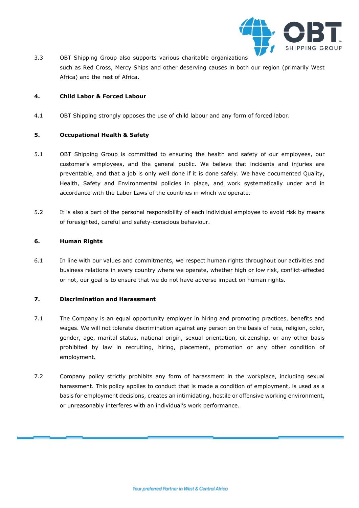

3.3 OBT Shipping Group also supports various charitable organizations such as Red Cross, Mercy Ships and other deserving causes in both our region (primarily West Africa) and the rest of Africa.

## **4. Child Labor & Forced Labour**

4.1 OBT Shipping strongly opposes the use of child labour and any form of forced labor.

## **5. Occupational Health & Safety**

- 5.1 OBT Shipping Group is committed to ensuring the health and safety of our employees, our customer's employees, and the general public. We believe that incidents and injuries are preventable, and that a job is only well done if it is done safely. We have documented Quality, Health, Safety and Environmental policies in place, and work systematically under and in accordance with the Labor Laws of the countries in which we operate.
- 5.2 It is also a part of the personal responsibility of each individual employee to avoid risk by means of foresighted, careful and safety-conscious behaviour.

## **6. Human Rights**

6.1 In line with our values and commitments, we respect human rights throughout our activities and business relations in every country where we operate, whether high or low risk, conflict-affected or not, our goal is to ensure that we do not have adverse impact on human rights.

#### **7. Discrimination and Harassment**

- 7.1 The Company is an equal opportunity employer in hiring and promoting practices, benefits and wages. We will not tolerate discrimination against any person on the basis of race, religion, color, gender, age, marital status, national origin, sexual orientation, citizenship, or any other basis prohibited by law in recruiting, hiring, placement, promotion or any other condition of employment.
- 7.2 Company policy strictly prohibits any form of harassment in the workplace, including sexual harassment. This policy applies to conduct that is made a condition of employment, is used as a basis for employment decisions, creates an intimidating, hostile or offensive working environment, or unreasonably interferes with an individual's work performance.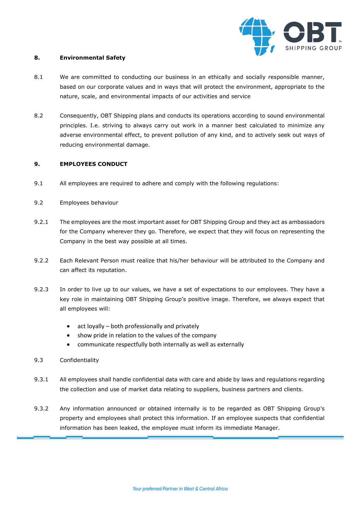

#### **8. Environmental Safety**

- 8.1 We are committed to conducting our business in an ethically and socially responsible manner, based on our corporate values and in ways that will protect the environment, appropriate to the nature, scale, and environmental impacts of our activities and service
- 8.2 Consequently, OBT Shipping plans and conducts its operations according to sound environmental principles. I.e. striving to always carry out work in a manner best calculated to minimize any adverse environmental effect, to prevent pollution of any kind, and to actively seek out ways of reducing environmental damage.

# **9. EMPLOYEES CONDUCT**

- 9.1 All employees are required to adhere and comply with the following regulations:
- 9.2 Employees behaviour
- 9.2.1 The employees are the most important asset for OBT Shipping Group and they act as ambassadors for the Company wherever they go. Therefore, we expect that they will focus on representing the Company in the best way possible at all times.
- 9.2.2 Each Relevant Person must realize that his/her behaviour will be attributed to the Company and can affect its reputation.
- 9.2.3 In order to live up to our values, we have a set of expectations to our employees. They have a key role in maintaining OBT Shipping Group's positive image. Therefore, we always expect that all employees will:
	- act loyally both professionally and privately
	- show pride in relation to the values of the company
	- communicate respectfully both internally as well as externally
- 9.3 Confidentiality
- 9.3.1 All employees shall handle confidential data with care and abide by laws and regulations regarding the collection and use of market data relating to suppliers, business partners and clients.
- 9.3.2 Any information announced or obtained internally is to be regarded as OBT Shipping Group's property and employees shall protect this information. If an employee suspects that confidential information has been leaked, the employee must inform its immediate Manager.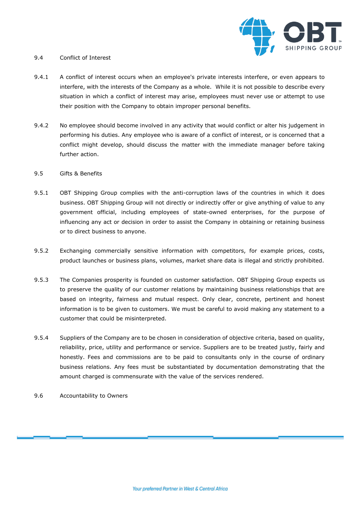

#### 9.4 Conflict of Interest

- 9.4.1 A conflict of interest occurs when an employee's private interests interfere, or even appears to interfere, with the interests of the Company as a whole. While it is not possible to describe every situation in which a conflict of interest may arise, employees must never use or attempt to use their position with the Company to obtain improper personal benefits.
- 9.4.2 No employee should become involved in any activity that would conflict or alter his judgement in performing his duties. Any employee who is aware of a conflict of interest, or is concerned that a conflict might develop, should discuss the matter with the immediate manager before taking further action.

#### 9.5 Gifts & Benefits

- 9.5.1 OBT Shipping Group complies with the anti-corruption laws of the countries in which it does business. OBT Shipping Group will not directly or indirectly offer or give anything of value to any government official, including employees of state-owned enterprises, for the purpose of influencing any act or decision in order to assist the Company in obtaining or retaining business or to direct business to anyone.
- 9.5.2 Exchanging commercially sensitive information with competitors, for example prices, costs, product launches or business plans, volumes, market share data is illegal and strictly prohibited.
- 9.5.3 The Companies prosperity is founded on customer satisfaction. OBT Shipping Group expects us to preserve the quality of our customer relations by maintaining business relationships that are based on integrity, fairness and mutual respect. Only clear, concrete, pertinent and honest information is to be given to customers. We must be careful to avoid making any statement to a customer that could be misinterpreted.
- 9.5.4 Suppliers of the Company are to be chosen in consideration of objective criteria, based on quality, reliability, price, utility and performance or service. Suppliers are to be treated justly, fairly and honestly. Fees and commissions are to be paid to consultants only in the course of ordinary business relations. Any fees must be substantiated by documentation demonstrating that the amount charged is commensurate with the value of the services rendered.
- 9.6 Accountability to Owners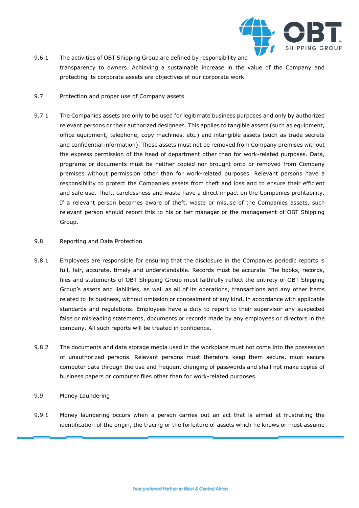

- 9.6.1 The activities of OBT Shipping Group are defined by responsibility and transparency to owners. Achieving a sustainable increase in the value of the Company and protecting its corporate assets are objectives of our corporate work.
- 9.7 Protection and proper use of Company assets
- 9.7.1 The Companies assets are only to be used for legitimate business purposes and only by authorized relevant persons or their authorized designees. This applies to tangible assets (such as equipment, office equipment, telephone, copy machines, etc.) and intangible assets (such as trade secrets and confidential information). These assets must not be removed from Company premises without the express permission of the head of department other than for work-related purposes. Data, programs or documents must be neither copied nor brought onto or removed from Company premises without permission other than for work-related purposes. Relevant persons have a responsibility to protect the Companies assets from theft and loss and to ensure their efficient and safe use. Theft, carelessness and waste have a direct impact on the Companies profitability. If a relevant person becomes aware of theft, waste or misuse of the Companies assets, such relevant person should report this to his or her manager or the management of OBT Shipping Group.

# 9.8 Reporting and Data Protection

- 9.8.1 Employees are responsible for ensuring that the disclosure in the Companies periodic reports is full, fair, accurate, timely and understandable. Records must be accurate. The books, records, files and statements of OBT Shipping Group must faithfully reflect the entirety of OBT Shipping Group's assets and liabilities, as well as all of its operations, transactions and any other items related to its business, without omission or concealment of any kind, in accordance with applicable standards and regulations. Employees have a duty to report to their supervisor any suspected false or misleading statements, documents or records made by any employees or directors in the company. All such reports will be treated in confidence.
- 9.8.2 The documents and data storage media used in the workplace must not come into the possession of unauthorized persons. Relevant persons must therefore keep them secure, must secure computer data through the use and frequent changing of passwords and shall not make copies of business papers or computer files other than for work-related purposes.

#### 9.9 Money Laundering

9.9.1 Money laundering occurs when a person carries out an act that is aimed at frustrating the identification of the origin, the tracing or the forfeiture of assets which he knows or must assume